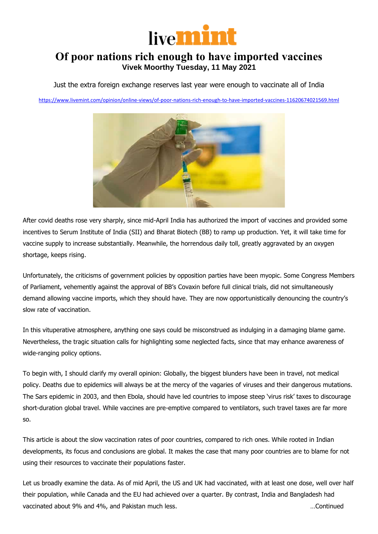

## **Of poor nations rich enough to have imported vaccines Vivek Moorthy Tuesday, 11 May 2021**

Just the extra foreign exchange reserves last year were enough to vaccinate all of India

<https://www.livemint.com/opinion/online-views/of-poor-nations-rich-enough-to-have-imported-vaccines-11620674021569.html>



After covid deaths rose very sharply, since mid-April India has authorized the import of vaccines and provided some incentives to Serum Institute of India (SII) and Bharat Biotech (BB) to ramp up production. Yet, it will take time for vaccine supply to increase substantially. Meanwhile, the horrendous daily toll, greatly aggravated by an oxygen shortage, keeps rising.

Unfortunately, the criticisms of government policies by opposition parties have been myopic. Some Congress Members of Parliament, vehemently against the approval of BB's Covaxin before full clinical trials, did not simultaneously demand allowing vaccine imports, which they should have. They are now opportunistically denouncing the country's slow rate of vaccination.

In this vituperative atmosphere, anything one says could be misconstrued as indulging in a damaging blame game. Nevertheless, the tragic situation calls for highlighting some neglected facts, since that may enhance awareness of wide-ranging policy options.

To begin with, I should clarify my overall opinion: Globally, the biggest blunders have been in travel, not medical policy. Deaths due to epidemics will always be at the mercy of the vagaries of viruses and their dangerous mutations. The Sars epidemic in 2003, and then Ebola, should have led countries to impose steep 'virus risk' taxes to discourage short-duration global travel. While vaccines are pre-emptive compared to ventilators, such travel taxes are far more so.

This article is about the slow vaccination rates of poor countries, compared to rich ones. While rooted in Indian developments, its focus and conclusions are global. It makes the case that many poor countries are to blame for not using their resources to vaccinate their populations faster.

Let us broadly examine the data. As of mid April, the US and UK had vaccinated, with at least one dose, well over half their population, while Canada and the EU had achieved over a quarter. By contrast, India and Bangladesh had vaccinated about 9% and 4%, and Pakistan much less. which is a set of the set of the much less in the much less